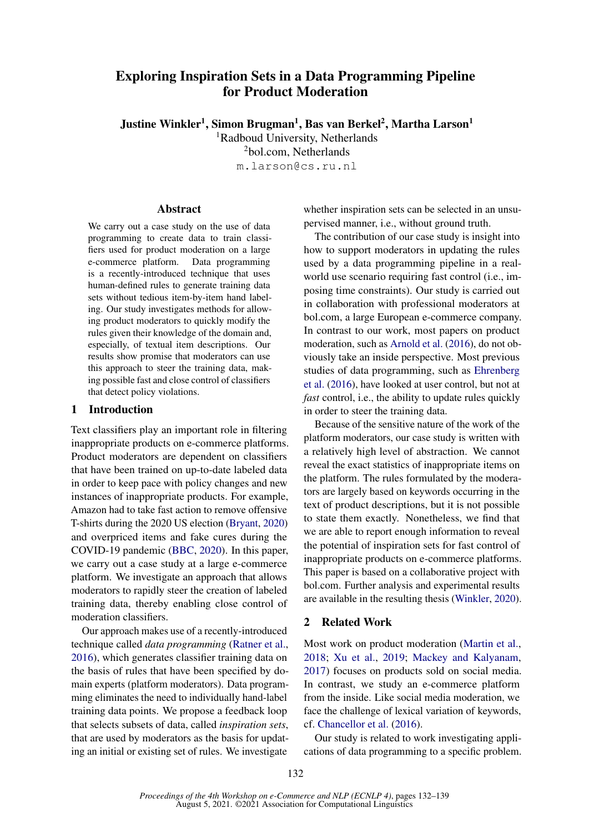# Exploring Inspiration Sets in a Data Programming Pipeline for Product Moderation

Justine Winkler<sup>1</sup>, Simon Brugman<sup>1</sup>, Bas van Berkel<sup>2</sup>, Martha Larson<sup>1</sup>

<sup>1</sup>Radboud University, Netherlands <sup>2</sup>bol.com, Netherlands

m.larson@cs.ru.nl

#### **Abstract**

We carry out a case study on the use of data programming to create data to train classifiers used for product moderation on a large e-commerce platform. Data programming is a recently-introduced technique that uses human-defined rules to generate training data sets without tedious item-by-item hand labeling. Our study investigates methods for allowing product moderators to quickly modify the rules given their knowledge of the domain and, especially, of textual item descriptions. Our results show promise that moderators can use this approach to steer the training data, making possible fast and close control of classifiers that detect policy violations.

#### 1 Introduction

Text classifiers play an important role in filtering inappropriate products on e-commerce platforms. Product moderators are dependent on classifiers that have been trained on up-to-date labeled data in order to keep pace with policy changes and new instances of inappropriate products. For example, Amazon had to take fast action to remove offensive T-shirts during the 2020 US election [\(Bryant,](#page-4-0) [2020\)](#page-4-0) and overpriced items and fake cures during the COVID-19 pandemic [\(BBC,](#page-4-1) [2020\)](#page-4-1). In this paper, we carry out a case study at a large e-commerce platform. We investigate an approach that allows moderators to rapidly steer the creation of labeled training data, thereby enabling close control of moderation classifiers.

Our approach makes use of a recently-introduced technique called *data programming* [\(Ratner et al.,](#page-4-2) [2016\)](#page-4-2), which generates classifier training data on the basis of rules that have been specified by domain experts (platform moderators). Data programming eliminates the need to individually hand-label training data points. We propose a feedback loop that selects subsets of data, called *inspiration sets*, that are used by moderators as the basis for updating an initial or existing set of rules. We investigate

whether inspiration sets can be selected in an unsupervised manner, i.e., without ground truth.

The contribution of our case study is insight into how to support moderators in updating the rules used by a data programming pipeline in a realworld use scenario requiring fast control (i.e., imposing time constraints). Our study is carried out in collaboration with professional moderators at bol.com, a large European e-commerce company. In contrast to our work, most papers on product moderation, such as [Arnold et al.](#page-4-3) [\(2016\)](#page-4-3), do not obviously take an inside perspective. Most previous studies of data programming, such as [Ehrenberg](#page-4-4) [et al.](#page-4-4) [\(2016\)](#page-4-4), have looked at user control, but not at *fast* control, i.e., the ability to update rules quickly in order to steer the training data.

Because of the sensitive nature of the work of the platform moderators, our case study is written with a relatively high level of abstraction. We cannot reveal the exact statistics of inappropriate items on the platform. The rules formulated by the moderators are largely based on keywords occurring in the text of product descriptions, but it is not possible to state them exactly. Nonetheless, we find that we are able to report enough information to reveal the potential of inspiration sets for fast control of inappropriate products on e-commerce platforms. This paper is based on a collaborative project with bol.com. Further analysis and experimental results are available in the resulting thesis [\(Winkler,](#page-5-0) [2020\)](#page-5-0).

## 2 Related Work

Most work on product moderation [\(Martin et al.,](#page-4-5) [2018;](#page-4-5) [Xu et al.,](#page-5-1) [2019;](#page-5-1) [Mackey and Kalyanam,](#page-4-6) [2017\)](#page-4-6) focuses on products sold on social media. In contrast, we study an e-commerce platform from the inside. Like social media moderation, we face the challenge of lexical variation of keywords, cf. [Chancellor et al.](#page-4-7) [\(2016\)](#page-4-7).

Our study is related to work investigating applications of data programming to a specific problem.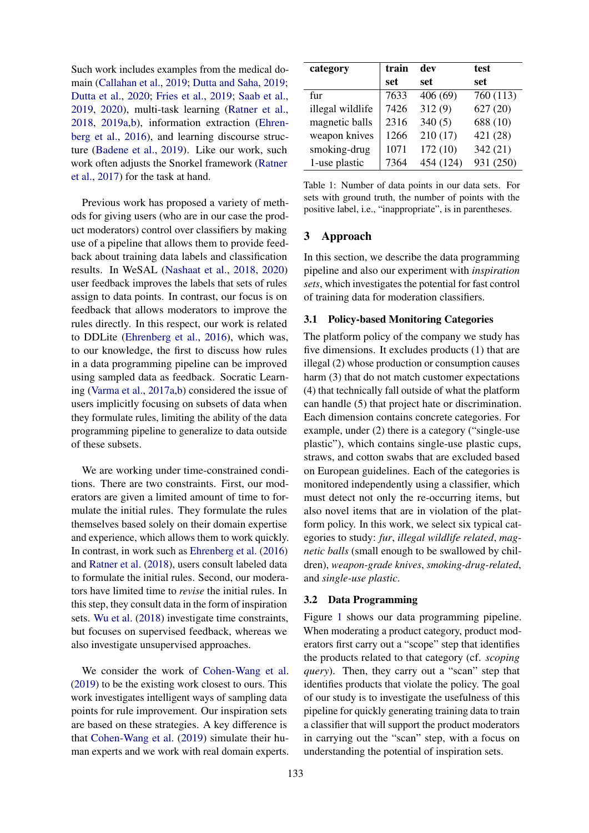Such work includes examples from the medical domain [\(Callahan et al.,](#page-4-8) [2019;](#page-4-8) [Dutta and Saha,](#page-4-9) [2019;](#page-4-9) [Dutta et al.,](#page-4-10) [2020;](#page-4-10) [Fries et al.,](#page-4-11) [2019;](#page-4-11) [Saab et al.,](#page-5-2) [2019,](#page-5-2) [2020\)](#page-5-3), multi-task learning [\(Ratner et al.,](#page-4-12) [2018,](#page-4-12) [2019a,](#page-4-13)[b\)](#page-4-14), information extraction [\(Ehren](#page-4-4)[berg et al.,](#page-4-4) [2016\)](#page-4-4), and learning discourse structure [\(Badene et al.,](#page-4-15) [2019\)](#page-4-15). Like our work, such work often adjusts the Snorkel framework [\(Ratner](#page-4-16) [et al.,](#page-4-16) [2017\)](#page-4-16) for the task at hand.

Previous work has proposed a variety of methods for giving users (who are in our case the product moderators) control over classifiers by making use of a pipeline that allows them to provide feedback about training data labels and classification results. In WeSAL [\(Nashaat et al.,](#page-4-17) [2018,](#page-4-17) [2020\)](#page-4-18) user feedback improves the labels that sets of rules assign to data points. In contrast, our focus is on feedback that allows moderators to improve the rules directly. In this respect, our work is related to DDLite [\(Ehrenberg et al.,](#page-4-4) [2016\)](#page-4-4), which was, to our knowledge, the first to discuss how rules in a data programming pipeline can be improved using sampled data as feedback. Socratic Learning [\(Varma et al.,](#page-5-4) [2017a](#page-5-4)[,b\)](#page-5-5) considered the issue of users implicitly focusing on subsets of data when they formulate rules, limiting the ability of the data programming pipeline to generalize to data outside of these subsets.

We are working under time-constrained conditions. There are two constraints. First, our moderators are given a limited amount of time to formulate the initial rules. They formulate the rules themselves based solely on their domain expertise and experience, which allows them to work quickly. In contrast, in work such as [Ehrenberg et al.](#page-4-4) [\(2016\)](#page-4-4) and [Ratner et al.](#page-4-12) [\(2018\)](#page-4-12), users consult labeled data to formulate the initial rules. Second, our moderators have limited time to *revise* the initial rules. In this step, they consult data in the form of inspiration sets. [Wu et al.](#page-5-6) [\(2018\)](#page-5-6) investigate time constraints, but focuses on supervised feedback, whereas we also investigate unsupervised approaches.

We consider the work of [Cohen-Wang et al.](#page-4-19) [\(2019\)](#page-4-19) to be the existing work closest to ours. This work investigates intelligent ways of sampling data points for rule improvement. Our inspiration sets are based on these strategies. A key difference is that [Cohen-Wang et al.](#page-4-19) [\(2019\)](#page-4-19) simulate their human experts and we work with real domain experts.

<span id="page-1-0"></span>

| category         | train | dev       | test      |
|------------------|-------|-----------|-----------|
|                  | set   | set       | set       |
| fur              | 7633  | 406(69)   | 760 (113) |
| illegal wildlife | 7426  | 312(9)    | 627(20)   |
| magnetic balls   | 2316  | 340(5)    | 688 (10)  |
| weapon knives    | 1266  | 210(17)   | 421 (28)  |
| smoking-drug     | 1071  | 172(10)   | 342(21)   |
| 1-use plastic    | 7364  | 454 (124) | 931 (250) |

Table 1: Number of data points in our data sets. For sets with ground truth, the number of points with the positive label, i.e., "inappropriate", is in parentheses.

# 3 Approach

In this section, we describe the data programming pipeline and also our experiment with *inspiration sets*, which investigates the potential for fast control of training data for moderation classifiers.

# 3.1 Policy-based Monitoring Categories

The platform policy of the company we study has five dimensions. It excludes products (1) that are illegal (2) whose production or consumption causes harm (3) that do not match customer expectations (4) that technically fall outside of what the platform can handle (5) that project hate or discrimination. Each dimension contains concrete categories. For example, under (2) there is a category ("single-use plastic"), which contains single-use plastic cups, straws, and cotton swabs that are excluded based on European guidelines. Each of the categories is monitored independently using a classifier, which must detect not only the re-occurring items, but also novel items that are in violation of the platform policy. In this work, we select six typical categories to study: *fur*, *illegal wildlife related*, *magnetic balls* (small enough to be swallowed by children), *weapon-grade knives*, *smoking-drug-related*, and *single-use plastic*.

## 3.2 Data Programming

Figure [1](#page-2-0) shows our data programming pipeline. When moderating a product category, product moderators first carry out a "scope" step that identifies the products related to that category (cf. *scoping query*). Then, they carry out a "scan" step that identifies products that violate the policy. The goal of our study is to investigate the usefulness of this pipeline for quickly generating training data to train a classifier that will support the product moderators in carrying out the "scan" step, with a focus on understanding the potential of inspiration sets.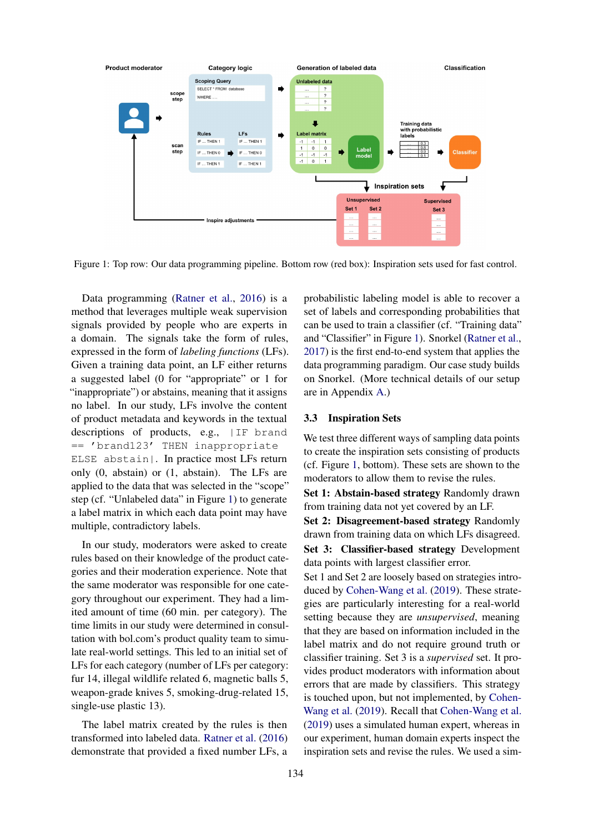<span id="page-2-0"></span>

Figure 1: Top row: Our data programming pipeline. Bottom row (red box): Inspiration sets used for fast control.

Data programming [\(Ratner et al.,](#page-4-2) [2016\)](#page-4-2) is a method that leverages multiple weak supervision signals provided by people who are experts in a domain. The signals take the form of rules, expressed in the form of *labeling functions* (LFs). Given a training data point, an LF either returns a suggested label (0 for "appropriate" or 1 for "inappropriate") or abstains, meaning that it assigns no label. In our study, LFs involve the content of product metadata and keywords in the textual descriptions of products, e.g., IIF brand == 'brand123' THEN inappropriate ELSE abstain|. In practice most LFs return only (0, abstain) or (1, abstain). The LFs are applied to the data that was selected in the "scope" step (cf. "Unlabeled data" in Figure [1\)](#page-2-0) to generate a label matrix in which each data point may have multiple, contradictory labels.

In our study, moderators were asked to create rules based on their knowledge of the product categories and their moderation experience. Note that the same moderator was responsible for one category throughout our experiment. They had a limited amount of time (60 min. per category). The time limits in our study were determined in consultation with bol.com's product quality team to simulate real-world settings. This led to an initial set of LFs for each category (number of LFs per category: fur 14, illegal wildlife related 6, magnetic balls 5, weapon-grade knives 5, smoking-drug-related 15, single-use plastic 13).

The label matrix created by the rules is then transformed into labeled data. [Ratner et al.](#page-4-2) [\(2016\)](#page-4-2) demonstrate that provided a fixed number LFs, a

probabilistic labeling model is able to recover a set of labels and corresponding probabilities that can be used to train a classifier (cf. "Training data" and "Classifier" in Figure [1\)](#page-2-0). Snorkel [\(Ratner et al.,](#page-4-16) [2017\)](#page-4-16) is the first end-to-end system that applies the data programming paradigm. Our case study builds on Snorkel. (More technical details of our setup are in Appendix [A.](#page-5-7))

#### 3.3 Inspiration Sets

We test three different ways of sampling data points to create the inspiration sets consisting of products (cf. Figure [1,](#page-2-0) bottom). These sets are shown to the moderators to allow them to revise the rules.

Set 1: Abstain-based strategy Randomly drawn from training data not yet covered by an LF.

Set 2: Disagreement-based strategy Randomly drawn from training data on which LFs disagreed. Set 3: Classifier-based strategy Development data points with largest classifier error.

Set 1 and Set 2 are loosely based on strategies introduced by [Cohen-Wang et al.](#page-4-19) [\(2019\)](#page-4-19). These strategies are particularly interesting for a real-world setting because they are *unsupervised*, meaning that they are based on information included in the label matrix and do not require ground truth or classifier training. Set 3 is a *supervised* set. It provides product moderators with information about errors that are made by classifiers. This strategy is touched upon, but not implemented, by [Cohen-](#page-4-19)[Wang et al.](#page-4-19) [\(2019\)](#page-4-19). Recall that [Cohen-Wang et al.](#page-4-19) [\(2019\)](#page-4-19) uses a simulated human expert, whereas in our experiment, human domain experts inspect the inspiration sets and revise the rules. We used a sim-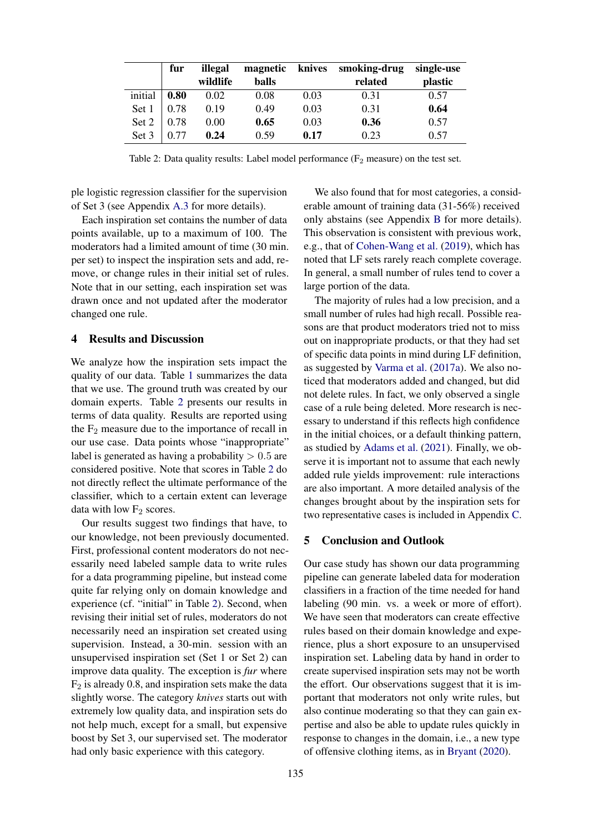<span id="page-3-0"></span>

|         | fur  | illegal  | magnetic |      | knives smoking-drug | single-use |
|---------|------|----------|----------|------|---------------------|------------|
|         |      | wildlife | balls    |      | related             | plastic    |
| initial | 0.80 | 0.02     | 0.08     | 0.03 | 0.31                | 0.57       |
| Set 1   | 0.78 | 0.19     | 0.49     | 0.03 | 0.31                | 0.64       |
| Set 2   | 0.78 | 0.00     | 0.65     | 0.03 | 0.36                | 0.57       |
| Set 3   | 0.77 | 0.24     | 0.59     | 0.17 | 0.23                | 0.57       |

Table 2: Data quality results: Label model performance ( $F_2$  measure) on the test set.

ple logistic regression classifier for the supervision of Set 3 (see Appendix [A.3](#page-5-8) for more details).

Each inspiration set contains the number of data points available, up to a maximum of 100. The moderators had a limited amount of time (30 min. per set) to inspect the inspiration sets and add, remove, or change rules in their initial set of rules. Note that in our setting, each inspiration set was drawn once and not updated after the moderator changed one rule.

## 4 Results and Discussion

We analyze how the inspiration sets impact the quality of our data. Table [1](#page-1-0) summarizes the data that we use. The ground truth was created by our domain experts. Table [2](#page-3-0) presents our results in terms of data quality. Results are reported using the  $F_2$  measure due to the importance of recall in our use case. Data points whose "inappropriate" label is generated as having a probability  $> 0.5$  are considered positive. Note that scores in Table [2](#page-3-0) do not directly reflect the ultimate performance of the classifier, which to a certain extent can leverage data with low  $\mathrm{F}_2$  scores.

Our results suggest two findings that have, to our knowledge, not been previously documented. First, professional content moderators do not necessarily need labeled sample data to write rules for a data programming pipeline, but instead come quite far relying only on domain knowledge and experience (cf. "initial" in Table [2\)](#page-3-0). Second, when revising their initial set of rules, moderators do not necessarily need an inspiration set created using supervision. Instead, a 30-min. session with an unsupervised inspiration set (Set 1 or Set 2) can improve data quality. The exception is *fur* where  $F<sub>2</sub>$  is already 0.8, and inspiration sets make the data slightly worse. The category *knives* starts out with extremely low quality data, and inspiration sets do not help much, except for a small, but expensive boost by Set 3, our supervised set. The moderator had only basic experience with this category.

We also found that for most categories, a considerable amount of training data (31-56%) received only abstains (see Appendix [B](#page-5-9) for more details). This observation is consistent with previous work, e.g., that of [Cohen-Wang et al.](#page-4-19) [\(2019\)](#page-4-19), which has noted that LF sets rarely reach complete coverage. In general, a small number of rules tend to cover a large portion of the data.

The majority of rules had a low precision, and a small number of rules had high recall. Possible reasons are that product moderators tried not to miss out on inappropriate products, or that they had set of specific data points in mind during LF definition, as suggested by [Varma et al.](#page-5-4) [\(2017a\)](#page-5-4). We also noticed that moderators added and changed, but did not delete rules. In fact, we only observed a single case of a rule being deleted. More research is necessary to understand if this reflects high confidence in the initial choices, or a default thinking pattern, as studied by [Adams et al.](#page-4-20) [\(2021\)](#page-4-20). Finally, we observe it is important not to assume that each newly added rule yields improvement: rule interactions are also important. A more detailed analysis of the changes brought about by the inspiration sets for two representative cases is included in Appendix [C.](#page-6-0)

#### 5 Conclusion and Outlook

Our case study has shown our data programming pipeline can generate labeled data for moderation classifiers in a fraction of the time needed for hand labeling (90 min. vs. a week or more of effort). We have seen that moderators can create effective rules based on their domain knowledge and experience, plus a short exposure to an unsupervised inspiration set. Labeling data by hand in order to create supervised inspiration sets may not be worth the effort. Our observations suggest that it is important that moderators not only write rules, but also continue moderating so that they can gain expertise and also be able to update rules quickly in response to changes in the domain, i.e., a new type of offensive clothing items, as in [Bryant](#page-4-0) [\(2020\)](#page-4-0).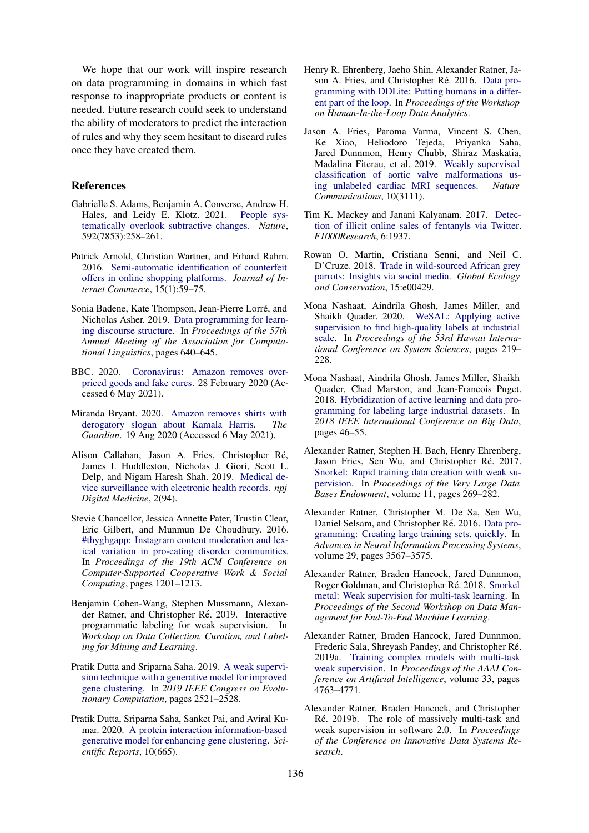We hope that our work will inspire research on data programming in domains in which fast response to inappropriate products or content is needed. Future research could seek to understand the ability of moderators to predict the interaction of rules and why they seem hesitant to discard rules once they have created them.

#### References

- <span id="page-4-20"></span>Gabrielle S. Adams, Benjamin A. Converse, Andrew H. Hales, and Leidy E. Klotz. 2021. [People sys](https://doi.org/10.1038/s41586-021-03380-y)[tematically overlook subtractive changes.](https://doi.org/10.1038/s41586-021-03380-y) *Nature*, 592(7853):258–261.
- <span id="page-4-3"></span>Patrick Arnold, Christian Wartner, and Erhard Rahm. 2016. [Semi-automatic identification of counterfeit](https://doi.org/10.1080/15332861.2015.1121459) [offers in online shopping platforms.](https://doi.org/10.1080/15332861.2015.1121459) *Journal of Internet Commerce*, 15(1):59–75.
- <span id="page-4-15"></span>Sonia Badene, Kate Thompson, Jean-Pierre Lorre, and ´ Nicholas Asher. 2019. [Data programming for learn](https://doi.org/10.18653/v1/P19-1061)[ing discourse structure.](https://doi.org/10.18653/v1/P19-1061) In *Proceedings of the 57th Annual Meeting of the Association for Computational Linguistics*, pages 640–645.
- <span id="page-4-1"></span>BBC. 2020. [Coronavirus: Amazon removes over](https://www.bbc.com/news/technology-51675183)[priced goods and fake cures.](https://www.bbc.com/news/technology-51675183) 28 February 2020 (Accessed 6 May 2021).
- <span id="page-4-0"></span>Miranda Bryant. 2020. [Amazon removes shirts with](https://www.theguardian.com/us-news/2020/aug/19/amazon-removes-shirts-derogatory-slogan-kamala-harris) [derogatory slogan about Kamala Harris.](https://www.theguardian.com/us-news/2020/aug/19/amazon-removes-shirts-derogatory-slogan-kamala-harris) *The Guardian*. 19 Aug 2020 (Accessed 6 May 2021).
- <span id="page-4-8"></span>Alison Callahan, Jason A. Fries, Christopher Re,´ James I. Huddleston, Nicholas J. Giori, Scott L. Delp, and Nigam Haresh Shah. 2019. [Medical de](https://doi.org/10.1038/s41746-019-0168-z)[vice surveillance with electronic health records.](https://doi.org/10.1038/s41746-019-0168-z) *npj Digital Medicine*, 2(94).
- <span id="page-4-7"></span>Stevie Chancellor, Jessica Annette Pater, Trustin Clear, Eric Gilbert, and Munmun De Choudhury. 2016. [#thyghgapp: Instagram content moderation and lex](https://doi.org/10.1145/2818048.2819963)[ical variation in pro-eating disorder communities.](https://doi.org/10.1145/2818048.2819963) In *Proceedings of the 19th ACM Conference on Computer-Supported Cooperative Work & Social Computing*, pages 1201–1213.
- <span id="page-4-19"></span>Benjamin Cohen-Wang, Stephen Mussmann, Alexander Ratner, and Christopher Ré. 2019. Interactive programmatic labeling for weak supervision. In *Workshop on Data Collection, Curation, and Labeling for Mining and Learning*.
- <span id="page-4-9"></span>Pratik Dutta and Sriparna Saha. 2019. [A weak supervi](https://doi.org/10.1109/CEC.2019.8790052)[sion technique with a generative model for improved](https://doi.org/10.1109/CEC.2019.8790052) [gene clustering.](https://doi.org/10.1109/CEC.2019.8790052) In *2019 IEEE Congress on Evolutionary Computation*, pages 2521–2528.
- <span id="page-4-10"></span>Pratik Dutta, Sriparna Saha, Sanket Pai, and Aviral Kumar. 2020. [A protein interaction information-based](https://doi.org/10.1038/s41598-020-57437-5) [generative model for enhancing gene clustering.](https://doi.org/10.1038/s41598-020-57437-5) *Scientific Reports*, 10(665).
- <span id="page-4-4"></span>Henry R. Ehrenberg, Jaeho Shin, Alexander Ratner, Ja-son A. Fries, and Christopher Ré. 2016. [Data pro](https://doi.org/10.1145/2939502.2939515)[gramming with DDLite: Putting humans in a differ](https://doi.org/10.1145/2939502.2939515)[ent part of the loop.](https://doi.org/10.1145/2939502.2939515) In *Proceedings of the Workshop on Human-In-the-Loop Data Analytics*.
- <span id="page-4-11"></span>Jason A. Fries, Paroma Varma, Vincent S. Chen, Ke Xiao, Heliodoro Tejeda, Priyanka Saha, Jared Dunnmon, Henry Chubb, Shiraz Maskatia, Madalina Fiterau, et al. 2019. [Weakly supervised](https://doi.org/10.1038/s41467-019-11012-3) [classification of aortic valve malformations us](https://doi.org/10.1038/s41467-019-11012-3)[ing unlabeled cardiac MRI sequences.](https://doi.org/10.1038/s41467-019-11012-3) *Nature Communications*, 10(3111).
- <span id="page-4-6"></span>Tim K. Mackey and Janani Kalyanam. 2017. [Detec](https://doi.org/https://doi.org/10.12688/f1000research.12914.1)[tion of illicit online sales of fentanyls via Twitter.](https://doi.org/https://doi.org/10.12688/f1000research.12914.1) *F1000Research*, 6:1937.
- <span id="page-4-5"></span>Rowan O. Martin, Cristiana Senni, and Neil C. D'Cruze. 2018. [Trade in wild-sourced African grey](https://doi.org/https://doi.org/10.1016/j.gecco.2018.e00429) [parrots: Insights via social media.](https://doi.org/https://doi.org/10.1016/j.gecco.2018.e00429) *Global Ecology and Conservation*, 15:e00429.
- <span id="page-4-18"></span>Mona Nashaat, Aindrila Ghosh, James Miller, and Shaikh Quader. 2020. [WeSAL: Applying active](https://doi.org/10.24251/HICSS.2020.028) [supervision to find high-quality labels at industrial](https://doi.org/10.24251/HICSS.2020.028) [scale.](https://doi.org/10.24251/HICSS.2020.028) In *Proceedings of the 53rd Hawaii International Conference on System Sciences*, pages 219– 228.
- <span id="page-4-17"></span>Mona Nashaat, Aindrila Ghosh, James Miller, Shaikh Quader, Chad Marston, and Jean-Francois Puget. 2018. [Hybridization of active learning and data pro](https://doi.org/https://doi.org/10.1109/BigData.2018.8622459)[gramming for labeling large industrial datasets.](https://doi.org/https://doi.org/10.1109/BigData.2018.8622459) In *2018 IEEE International Conference on Big Data*, pages 46–55.
- <span id="page-4-16"></span>Alexander Ratner, Stephen H. Bach, Henry Ehrenberg, Jason Fries, Sen Wu, and Christopher Ré. 2017. [Snorkel: Rapid training data creation with weak su](https://doi.org/10.14778/3157794.3157797)[pervision.](https://doi.org/10.14778/3157794.3157797) In *Proceedings of the Very Large Data Bases Endowment*, volume 11, pages 269–282.
- <span id="page-4-2"></span>Alexander Ratner, Christopher M. De Sa, Sen Wu, Daniel Selsam, and Christopher Ré. 2016. [Data pro](https://dl.acm.org/doi/pdf/10.5555/3157382.3157497)[gramming: Creating large training sets, quickly.](https://dl.acm.org/doi/pdf/10.5555/3157382.3157497) In *Advances in Neural Information Processing Systems*, volume 29, pages 3567–3575.
- <span id="page-4-12"></span>Alexander Ratner, Braden Hancock, Jared Dunnmon, Roger Goldman, and Christopher Ré. 2018. [Snorkel](https://doi.org/10.1145/3209889.3209898) [metal: Weak supervision for multi-task learning.](https://doi.org/10.1145/3209889.3209898) In *Proceedings of the Second Workshop on Data Management for End-To-End Machine Learning*.
- <span id="page-4-13"></span>Alexander Ratner, Braden Hancock, Jared Dunnmon, Frederic Sala, Shreyash Pandey, and Christopher Re.´ 2019a. [Training complex models with multi-task](https://doi.org/10.1609/aaai.v33i01.33014763) [weak supervision.](https://doi.org/10.1609/aaai.v33i01.33014763) In *Proceedings of the AAAI Conference on Artificial Intelligence*, volume 33, pages 4763–4771.
- <span id="page-4-14"></span>Alexander Ratner, Braden Hancock, and Christopher Ré. 2019b. The role of massively multi-task and weak supervision in software 2.0. In *Proceedings of the Conference on Innovative Data Systems Research*.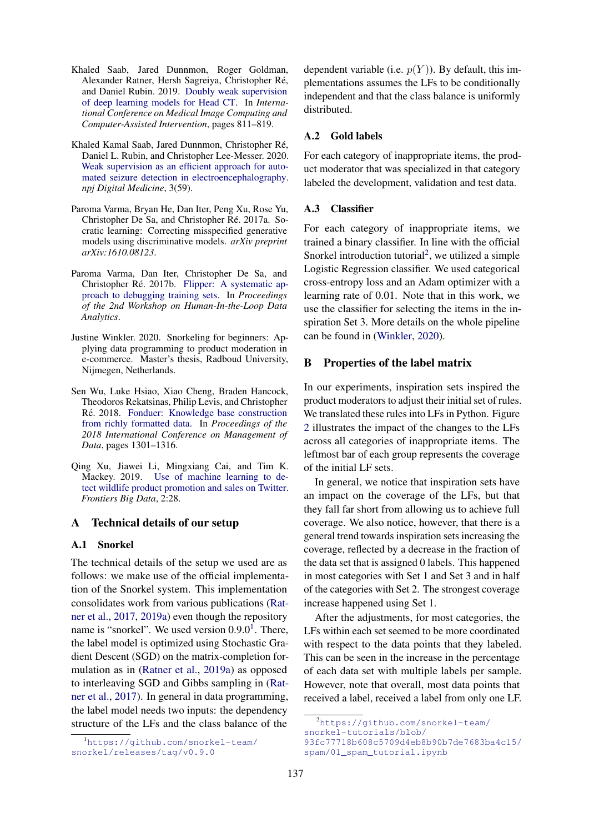- <span id="page-5-2"></span>Khaled Saab, Jared Dunnmon, Roger Goldman, Alexander Ratner, Hersh Sagreiya, Christopher Re,´ and Daniel Rubin. 2019. [Doubly weak supervision](https://doi.org/10.1007/978-3-030-32248-9_90) [of deep learning models for Head CT.](https://doi.org/10.1007/978-3-030-32248-9_90) In *International Conference on Medical Image Computing and Computer-Assisted Intervention*, pages 811–819.
- <span id="page-5-3"></span>Khaled Kamal Saab, Jared Dunnmon, Christopher Re,´ Daniel L. Rubin, and Christopher Lee-Messer. 2020. [Weak supervision as an efficient approach for auto](https://doi.org/10.1038/s41746-020-0264-0)[mated seizure detection in electroencephalography.](https://doi.org/10.1038/s41746-020-0264-0) *npj Digital Medicine*, 3(59).
- <span id="page-5-4"></span>Paroma Varma, Bryan He, Dan Iter, Peng Xu, Rose Yu, Christopher De Sa, and Christopher Ré. 2017a. Socratic learning: Correcting misspecified generative models using discriminative models. *arXiv preprint arXiv:1610.08123*.
- <span id="page-5-5"></span>Paroma Varma, Dan Iter, Christopher De Sa, and Christopher Ré. 2017b. [Flipper: A systematic ap](https://doi.org/10.1145/3077257.3077263)[proach to debugging training sets.](https://doi.org/10.1145/3077257.3077263) In *Proceedings of the 2nd Workshop on Human-In-the-Loop Data Analytics*.
- <span id="page-5-0"></span>Justine Winkler. 2020. Snorkeling for beginners: Applying data programming to product moderation in e-commerce. Master's thesis, Radboud University, Nijmegen, Netherlands.
- <span id="page-5-6"></span>Sen Wu, Luke Hsiao, Xiao Cheng, Braden Hancock, Theodoros Rekatsinas, Philip Levis, and Christopher Ré. 2018. [Fonduer: Knowledge base construction](https://doi.org/10.1145/3183713.3183729) [from richly formatted data.](https://doi.org/10.1145/3183713.3183729) In *Proceedings of the 2018 International Conference on Management of Data*, pages 1301–1316.
- <span id="page-5-1"></span>Qing Xu, Jiawei Li, Mingxiang Cai, and Tim K. Mackey. 2019. [Use of machine learning to de](https://doi.org/10.3389/fdata.2019.00028)[tect wildlife product promotion and sales on Twitter.](https://doi.org/10.3389/fdata.2019.00028) *Frontiers Big Data*, 2:28.

# <span id="page-5-7"></span>A Technical details of our setup

#### A.1 Snorkel

The technical details of the setup we used are as follows: we make use of the official implementation of the Snorkel system. This implementation consolidates work from various publications [\(Rat](#page-4-16)[ner et al.,](#page-4-16) [2017,](#page-4-16) [2019a\)](#page-4-13) even though the repository name is "snorkel". We used version  $0.9.0<sup>1</sup>$  $0.9.0<sup>1</sup>$  $0.9.0<sup>1</sup>$ . There, the label model is optimized using Stochastic Gradient Descent (SGD) on the matrix-completion formulation as in [\(Ratner et al.,](#page-4-13) [2019a\)](#page-4-13) as opposed to interleaving SGD and Gibbs sampling in [\(Rat](#page-4-16)[ner et al.,](#page-4-16) [2017\)](#page-4-16). In general in data programming, the label model needs two inputs: the dependency structure of the LFs and the class balance of the

dependent variable (i.e.  $p(Y)$ ). By default, this implementations assumes the LFs to be conditionally independent and that the class balance is uniformly distributed.

## A.2 Gold labels

For each category of inappropriate items, the product moderator that was specialized in that category labeled the development, validation and test data.

#### <span id="page-5-8"></span>A.3 Classifier

For each category of inappropriate items, we trained a binary classifier. In line with the official Snorkel introduction tutorial<sup>[2](#page-5-11)</sup>, we utilized a simple Logistic Regression classifier. We used categorical cross-entropy loss and an Adam optimizer with a learning rate of 0.01. Note that in this work, we use the classifier for selecting the items in the inspiration Set 3. More details on the whole pipeline can be found in [\(Winkler,](#page-5-0) [2020\)](#page-5-0).

#### <span id="page-5-9"></span>B Properties of the label matrix

In our experiments, inspiration sets inspired the product moderators to adjust their initial set of rules. We translated these rules into LFs in Python. Figure [2](#page-6-1) illustrates the impact of the changes to the LFs across all categories of inappropriate items. The leftmost bar of each group represents the coverage of the initial LF sets.

In general, we notice that inspiration sets have an impact on the coverage of the LFs, but that they fall far short from allowing us to achieve full coverage. We also notice, however, that there is a general trend towards inspiration sets increasing the coverage, reflected by a decrease in the fraction of the data set that is assigned 0 labels. This happened in most categories with Set 1 and Set 3 and in half of the categories with Set 2. The strongest coverage increase happened using Set 1.

After the adjustments, for most categories, the LFs within each set seemed to be more coordinated with respect to the data points that they labeled. This can be seen in the increase in the percentage of each data set with multiple labels per sample. However, note that overall, most data points that received a label, received a label from only one LF.

<span id="page-5-10"></span><sup>1</sup>[https://github.com/snorkel-team/](https://github.com/snorkel-team/snorkel/releases/tag/v0.9.0) [snorkel/releases/tag/v0.9.0](https://github.com/snorkel-team/snorkel/releases/tag/v0.9.0)

<span id="page-5-11"></span><sup>2</sup>[https://github.com/snorkel-team/](https://github.com/snorkel-team/snorkel-tutorials/blob/93fc77718b608c5709d4eb8b90b7de7683ba4c15/spam/01_spam_tutorial.ipynb) [snorkel-tutorials/blob/](https://github.com/snorkel-team/snorkel-tutorials/blob/93fc77718b608c5709d4eb8b90b7de7683ba4c15/spam/01_spam_tutorial.ipynb)

[<sup>93</sup>fc77718b608c5709d4eb8b90b7de7683ba4c15/](https://github.com/snorkel-team/snorkel-tutorials/blob/93fc77718b608c5709d4eb8b90b7de7683ba4c15/spam/01_spam_tutorial.ipynb) [spam/01\\_spam\\_tutorial.ipynb](https://github.com/snorkel-team/snorkel-tutorials/blob/93fc77718b608c5709d4eb8b90b7de7683ba4c15/spam/01_spam_tutorial.ipynb)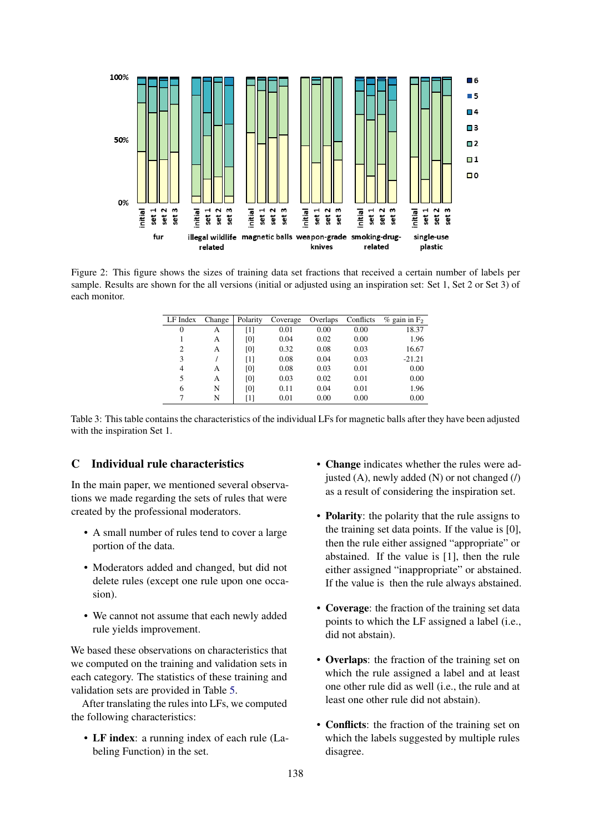<span id="page-6-1"></span>

<span id="page-6-2"></span>Figure 2: This figure shows the sizes of training data set fractions that received a certain number of labels per sample. Results are shown for the all versions (initial or adjusted using an inspiration set: Set 1, Set 2 or Set 3) of each monitor.

| LF Index | Change | Polarity | Coverage | Overlaps | Conflicts | $\%$ gain in F <sub>2</sub> |
|----------|--------|----------|----------|----------|-----------|-----------------------------|
| 0        | А      | [1]      | 0.01     | 0.00     | 0.00      | 18.37                       |
|          | А      | [0]      | 0.04     | 0.02     | 0.00      | 1.96                        |
| 2        | А      | [0]      | 0.32     | 0.08     | 0.03      | 16.67                       |
| 3        |        | [1]      | 0.08     | 0.04     | 0.03      | $-21.21$                    |
| 4        | А      | [0]      | 0.08     | 0.03     | 0.01      | 0.00                        |
| 5        | А      | [0]      | 0.03     | 0.02     | 0.01      | 0.00                        |
| 6        | N      | [0]      | 0.11     | 0.04     | 0.01      | 1.96                        |
| 7        | N      | [1]      | 0.01     | 0.00     | 0.00      | 0.00                        |

Table 3: This table contains the characteristics of the individual LFs for magnetic balls after they have been adjusted with the inspiration Set 1.

# <span id="page-6-0"></span>C Individual rule characteristics

In the main paper, we mentioned several observations we made regarding the sets of rules that were created by the professional moderators.

- A small number of rules tend to cover a large portion of the data.
- Moderators added and changed, but did not delete rules (except one rule upon one occasion).
- We cannot not assume that each newly added rule yields improvement.

We based these observations on characteristics that we computed on the training and validation sets in each category. The statistics of these training and validation sets are provided in Table [5.](#page-7-0)

After translating the rules into LFs, we computed the following characteristics:

• LF index: a running index of each rule (Labeling Function) in the set.

- Change indicates whether the rules were adjusted (A), newly added (N) or not changed (/) as a result of considering the inspiration set.
- **Polarity**: the polarity that the rule assigns to the training set data points. If the value is [0], then the rule either assigned "appropriate" or abstained. If the value is [1], then the rule either assigned "inappropriate" or abstained. If the value is then the rule always abstained.
- Coverage: the fraction of the training set data points to which the LF assigned a label (i.e., did not abstain).
- Overlaps: the fraction of the training set on which the rule assigned a label and at least one other rule did as well (i.e., the rule and at least one other rule did not abstain).
- Conflicts: the fraction of the training set on which the labels suggested by multiple rules disagree.